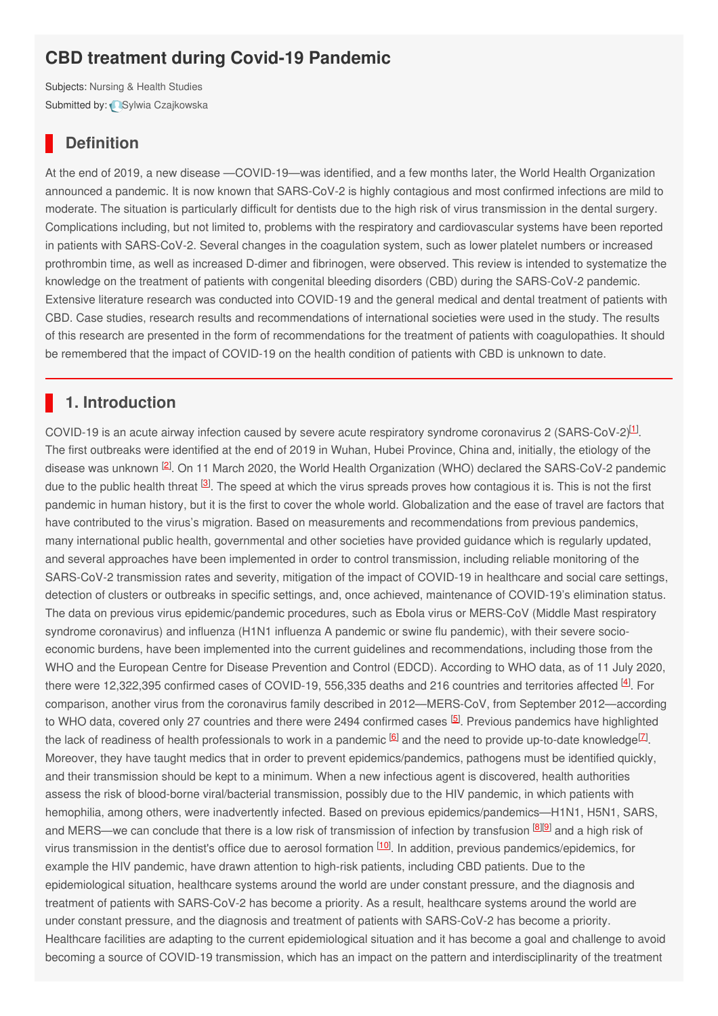# **CBD treatment during Covid-19 Pandemic**

Subjects: [Nursing](https://encyclopedia.pub/item/subject/68) & Health Studies Submitted by: Sylwia [Czajkowska](https://sciprofiles.com/profile/1180652)

# **Definition**

At the end of 2019, a new disease —COVID-19—was identified, and a few months later, the World Health Organization announced a pandemic. It is now known that SARS-CoV-2 is highly contagious and most confirmed infections are mild to moderate. The situation is particularly difficult for dentists due to the high risk of virus transmission in the dental surgery. Complications including, but not limited to, problems with the respiratory and cardiovascular systems have been reported in patients with SARS-CoV-2. Several changes in the coagulation system, such as lower platelet numbers or increased prothrombin time, as well as increased D-dimer and fibrinogen, were observed. This review is intended to systematize the knowledge on the treatment of patients with congenital bleeding disorders (CBD) during the SARS-CoV-2 pandemic. Extensive literature research was conducted into COVID-19 and the general medical and dental treatment of patients with CBD. Case studies, research results and recommendations of international societies were used in the study. The results of this research are presented in the form of recommendations for the treatment of patients with coagulopathies. It should be remembered that the impact of COVID-19 on the health condition of patients with CBD is unknown to date.

# **1. Introduction**

COVID-19 is an acute airway infection caused by severe acute respiratory syndrome coronavirus 2 (SARS-CoV-2) $11$ . The first outbreaks were identified at the end of 2019 in Wuhan, Hubei Province, China and, initially, the etiology of the disease was unknown <sup>[\[2](#page-2-1)]</sup>. On 11 March 2020, the World Health Organization (WHO) declared the SARS-CoV-2 pandemic due to the public health threat <sup>[\[3](#page-2-2)]</sup>. The speed at which the virus spreads proves how contagious it is. This is not the first pandemic in human history, but it is the first to cover the whole world. Globalization and the ease of travel are factors that have contributed to the virus's migration. Based on measurements and recommendations from previous pandemics, many international public health, governmental and other societies have provided guidance which is regularly updated, and several approaches have been implemented in order to control transmission, including reliable monitoring of the SARS-CoV-2 transmission rates and severity, mitigation of the impact of COVID-19 in healthcare and social care settings, detection of clusters or outbreaks in specific settings, and, once achieved, maintenance of COVID-19's elimination status. The data on previous virus epidemic/pandemic procedures, such as Ebola virus or MERS-CoV (Middle Mast respiratory syndrome coronavirus) and influenza (H1N1 influenza A pandemic or swine flu pandemic), with their severe socioeconomic burdens, have been implemented into the current guidelines and recommendations, including those from the WHO and the European Centre for Disease Prevention and Control (EDCD). According to WHO data, as of 11 July 2020, there were 12,322,395 confirmed cases of COVID-19, 556,335 deaths and 216 countries and territories affected  $^{[4]}$  $^{[4]}$  $^{[4]}$ . For comparison, another virus from the coronavirus family described in 2012—MERS-CoV, from September 2012—according to WHO data, covered only 27 countries and there were 2494 confirmed cases <sup>[\[5](#page-2-4)]</sup>. Previous pandemics have highlighted the lack of readiness of health professionals to work in a pandemic  $^{6}$  and the need to provide up-to-date knowledge  $^{[7]}$  $^{[7]}$  $^{[7]}$ . Moreover, they have taught medics that in order to prevent epidemics/pandemics, pathogens must be identified quickly, and their transmission should be kept to a minimum. When a new infectious agent is discovered, health authorities assess the risk of blood-borne viral/bacterial transmission, possibly due to the HIV pandemic, in which patients with hemophilia, among others, were inadvertently infected. Based on previous epidemics/pandemics—H1N1, H5N1, SARS, and MERS—we can conclude that there is a low risk of transmission of infection by transfusion  $^{\text{[8][9]}}$  $^{\text{[8][9]}}$  $^{\text{[8][9]}}$  $^{\text{[8][9]}}$  $^{\text{[8][9]}}$  and a high risk of virus transmission in the dentist's office due to aerosol formation <sup>[\[10](#page-2-9)]</sup>. In addition, previous pandemics/epidemics, for example the HIV pandemic, have drawn attention to high-risk patients, including CBD patients. Due to the epidemiological situation, healthcare systems around the world are under constant pressure, and the diagnosis and treatment of patients with SARS-CoV-2 has become a priority. As a result, healthcare systems around the world are under constant pressure, and the diagnosis and treatment of patients with SARS-CoV-2 has become a priority. Healthcare facilities are adapting to the current epidemiological situation and it has become a goal and challenge to avoid becoming a source of COVID-19 transmission, which has an impact on the pattern and interdisciplinarity of the treatment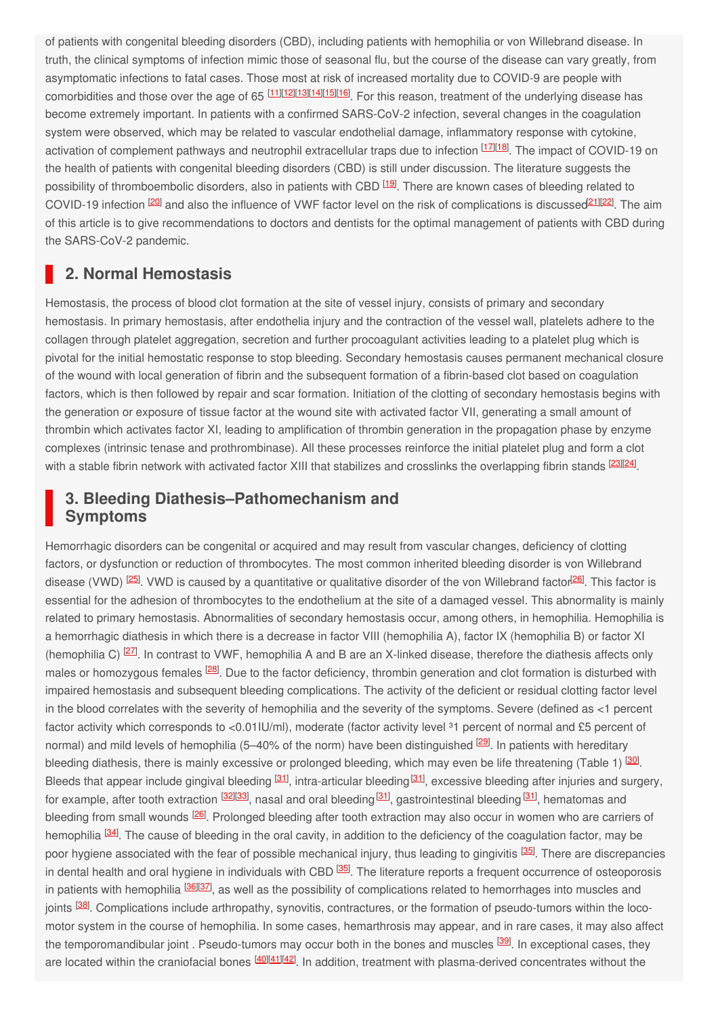of patients with congenital bleeding disorders (CBD), including patients with hemophilia or von Willebrand disease. In truth, the clinical symptoms of infection mimic those of seasonal flu, but the course of the disease can vary greatly, from asymptomatic infections to fatal cases. Those most at risk of increased mortality due to COVID-9 are people with comorbidities and those over the age of 65 [[11](#page-2-10)][\[12](#page-2-11)][\[13](#page-3-0)][\[14](#page-3-1)][\[15](#page-3-2)][\[16](#page-3-3)]. For this reason, treatment of the underlying disease has become extremely important. In patients with a confirmed SARS-CoV-2 infection, several changes in the coagulation system were observed, which may be related to vascular endothelial damage, inflammatory response with cytokine, activation of complement pathways and neutrophil extracellular traps due to infection <sup>[\[17](#page-3-4)][\[18](#page-3-5)]</sup>. The impact of COVID-19 on the health of patients with congenital bleeding disorders (CBD) is still under discussion. The literature suggests the possibility of thromboembolic disorders, also in patients with CBD <sup>[\[19](#page-3-6)]</sup>. There are known cases of bleeding related to COVID-19 infection <sup>[\[20](#page-3-7)]</sup> and also the influence of VWF factor level on the risk of complications is discussed <sup>[21](#page-3-8)</sup><sup>[\[22](#page-3-9)]</sup>. The aim of this article is to give recommendations to doctors and dentists for the optimal management of patients with CBD during the SARS-CoV-2 pandemic.

### **2. Normal Hemostasis**

Hemostasis, the process of blood clot formation at the site of vessel injury, consists of primary and secondary hemostasis. In primary hemostasis, after endothelia injury and the contraction of the vessel wall, platelets adhere to the collagen through platelet aggregation, secretion and further procoagulant activities leading to a platelet plug which is pivotal for the initial hemostatic response to stop bleeding. Secondary hemostasis causes permanent mechanical closure of the wound with local generation of fibrin and the subsequent formation of a fibrin-based clot based on coagulation factors, which is then followed by repair and scar formation. Initiation of the clotting of secondary hemostasis begins with the generation or exposure of tissue factor at the wound site with activated factor VII, generating a small amount of thrombin which activates factor XI, leading to amplification of thrombin generation in the propagation phase by enzyme complexes (intrinsic tenase and prothrombinase). All these processes reinforce the initial platelet plug and form a clot with a stable fibrin network with activated factor XIII that stabilizes and crosslinks the overlapping fibrin stands <sup>[\[23](#page-3-10)][[24](#page-3-11)]</sup>.

### **3. Bleeding Diathesis–Pathomechanism and Symptoms**

Hemorrhagic disorders can be congenital or acquired and may result from vascular changes, deficiency of clotting factors, or dysfunction or reduction of thrombocytes. The most common inherited bleeding disorder is von Willebrand disease (VWD) <sup>[\[25](#page-3-12)]</sup>. VWD is caused by a quantitative or qualitative disorder of the von Willebrand factor<sup>[\[26](#page-3-13)]</sup>. This factor is essential for the adhesion of thrombocytes to the endothelium at the site of a damaged vessel. This abnormality is mainly related to primary hemostasis. Abnormalities of secondary hemostasis occur, among others, in hemophilia. Hemophilia is a hemorrhagic diathesis in which there is a decrease in factor VIII (hemophilia A), factor IX (hemophilia B) or factor XI (hemophilia C)  $^{[27]}$  $^{[27]}$  $^{[27]}$ . In contrast to VWF, hemophilia A and B are an X-linked disease, therefore the diathesis affects only males or homozygous females <sup>[\[28](#page-3-15)]</sup>. Due to the factor deficiency, thrombin generation and clot formation is disturbed with impaired hemostasis and subsequent bleeding complications. The activity of the deficient or residual clotting factor level in the blood correlates with the severity of hemophilia and the severity of the symptoms. Severe (defined as <1 percent factor activity which corresponds to <0.01IU/ml), moderate (factor activity level <sup>31</sup> percent of normal and £5 percent of normal) and mild levels of hemophilia (5–40% of the norm) have been distinguished <sup>[\[29](#page-3-16)]</sup>. In patients with hereditary bleeding diathesis, there is mainly excessive or prolonged bleeding, which may even be life threatening (Table 1) <sup>[\[30](#page-3-17)]</sup>. Bleeds that appear include gingival bleeding <sup>[[31](#page-3-18)]</sup>, intra-articular bleeding <sup>[\[31](#page-3-18)]</sup>, excessive bleeding after injuries and surgery, for example, after tooth extraction <sup>[\[32](#page-3-19)][\[33](#page-3-20)]</sup>, nasal and oral bleeding <sup>[[31](#page-3-18)]</sup>, gastrointestinal bleeding <sup>[\[31](#page-3-18)]</sup>, hematomas and bleeding from small wounds <sup>[\[26](#page-3-13)]</sup>. Prolonged bleeding after tooth extraction may also occur in women who are carriers of hemophilia <sup>[\[34](#page-3-21)]</sup>. The cause of bleeding in the oral cavity, in addition to the deficiency of the coagulation factor, may be poor hygiene associated with the fear of possible mechanical injury, thus leading to gingivitis <sup>[[35](#page-3-22)]</sup>. There are discrepancies in dental health and oral hygiene in individuals with CBD <sup>[\[35](#page-3-22)]</sup>. The literature reports a frequent occurrence of osteoporosis in patients with hemophilia <sup>[\[36](#page-4-0)][\[37](#page-4-1)]</sup>, as well as the possibility of complications related to hemorrhages into muscles and joints <sup>[\[38](#page-4-2)]</sup>. Complications include arthropathy, synovitis, contractures, or the formation of pseudo-tumors within the locomotor system in the course of hemophilia. In some cases, hemarthrosis may appear, and in rare cases, it may also affect the temporomandibular joint . Pseudo-tumors may occur both in the bones and muscles <sup>[\[39](#page-4-3)]</sup>. In exceptional cases, they are located within the craniofacial bones  $\frac{[40][41][42]}{2}$  $\frac{[40][41][42]}{2}$  $\frac{[40][41][42]}{2}$  $\frac{[40][41][42]}{2}$  $\frac{[40][41][42]}{2}$  $\frac{[40][41][42]}{2}$  $\frac{[40][41][42]}{2}$ . In addition, treatment with plasma-derived concentrates without the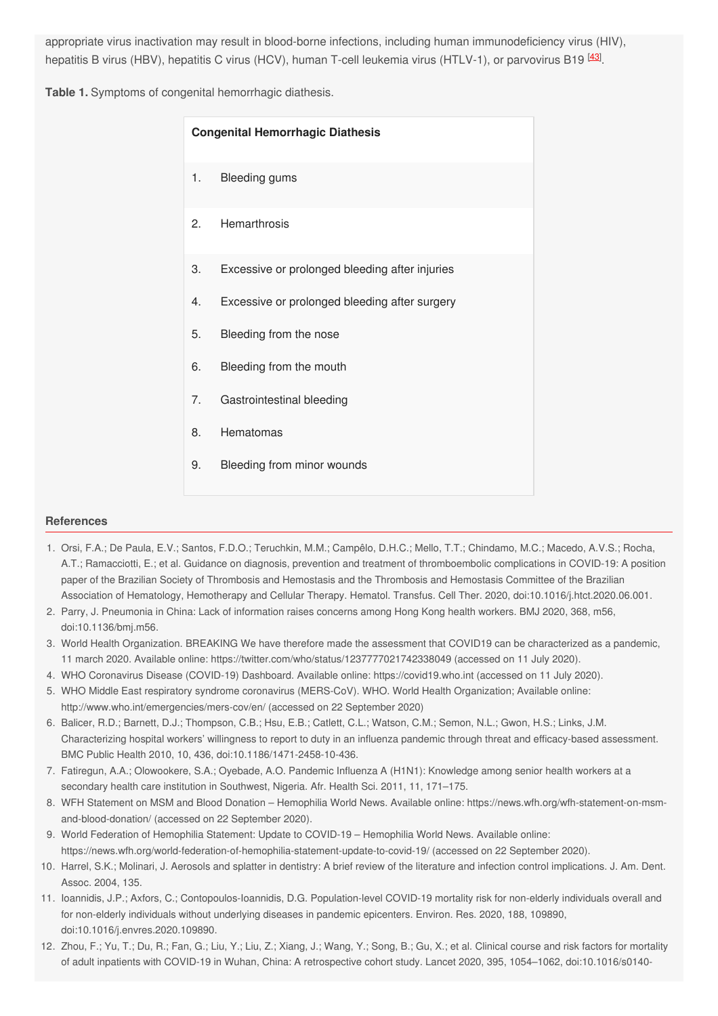appropriate virus inactivation may result in blood-borne infections, including human immunodeficiency virus (HIV), hepatitis B virus (HBV), hepatitis C virus (HCV), human T-cell leukemia virus (HTLV-1), or parvovirus B19 <sup>[\[43](#page-4-7)]</sup>.

**Table 1.** Symptoms of congenital hemorrhagic diathesis.

| <b>Congenital Hemorrhagic Diathesis</b> |                                                |
|-----------------------------------------|------------------------------------------------|
| 1.                                      | Bleeding gums                                  |
| 2.                                      | Hemarthrosis                                   |
| 3.                                      | Excessive or prolonged bleeding after injuries |
| 4.                                      | Excessive or prolonged bleeding after surgery  |
| 5.                                      | Bleeding from the nose                         |
| 6.                                      | Bleeding from the mouth                        |
| 7 <sub>1</sub>                          | Gastrointestinal bleeding                      |
| 8.                                      | Hematomas                                      |
| 9.                                      | Bleeding from minor wounds                     |

#### <span id="page-2-0"></span>**References**

- <span id="page-2-1"></span>1. Orsi, F.A.; De Paula, E.V.; Santos, F.D.O.; Teruchkin, M.M.; Campêlo, D.H.C.; Mello, T.T.; Chindamo, M.C.; Macedo, A.V.S.; Rocha, A.T.; Ramacciotti, E.; et al. Guidance on diagnosis, prevention and treatment of thromboembolic complications in COVID-19: A position paper of the Brazilian Society of Thrombosis and Hemostasis and the Thrombosis and Hemostasis Committee of the Brazilian Association of Hematology, Hemotherapy and Cellular Therapy. Hematol. Transfus. Cell Ther. 2020, doi:10.1016/j.htct.2020.06.001.
- <span id="page-2-2"></span>2. Parry, J. Pneumonia in China: Lack of information raises concerns among Hong Kong health workers. BMJ 2020, 368, m56, doi:10.1136/bmj.m56.
- <span id="page-2-4"></span><span id="page-2-3"></span>3. World Health Organization. BREAKING We have therefore made the assessment that COVID19 can be characterized as a pandemic, 11 march 2020. Available online: https://twitter.com/who/status/1237777021742338049 (accessed on 11 July 2020).
- 4. WHO Coronavirus Disease (COVID-19) Dashboard. Available online: https://covid19.who.int (accessed on 11 July 2020).
- <span id="page-2-5"></span>5. WHO Middle East respiratory syndrome coronavirus (MERS-CoV). WHO. World Health Organization; Available online: http://www.who.int/emergencies/mers-cov/en/ (accessed on 22 September 2020)
- <span id="page-2-6"></span>6. Balicer, R.D.; Barnett, D.J.; Thompson, C.B.; Hsu, E.B.; Catlett, C.L.; Watson, C.M.; Semon, N.L.; Gwon, H.S.; Links, J.M. Characterizing hospital workers' willingness to report to duty in an influenza pandemic through threat and efficacy-based assessment. BMC Public Health 2010, 10, 436, doi:10.1186/1471-2458-10-436.
- <span id="page-2-7"></span>7. Fatiregun, A.A.; Olowookere, S.A.; Oyebade, A.O. Pandemic Influenza A (H1N1): Knowledge among senior health workers at a secondary health care institution in Southwest, Nigeria. Afr. Health Sci. 2011, 11, 171–175.
- <span id="page-2-8"></span>8. WFH Statement on MSM and Blood Donation – Hemophilia World News. Available online: https://news.wfh.org/wfh-statement-on-msmand-blood-donation/ (accessed on 22 September 2020).
- <span id="page-2-9"></span>9. World Federation of Hemophilia Statement: Update to COVID-19 – Hemophilia World News. Available online: https://news.wfh.org/world-federation-of-hemophilia-statement-update-to-covid-19/ (accessed on 22 September 2020).
- <span id="page-2-10"></span>10. Harrel, S.K.; Molinari, J. Aerosols and splatter in dentistry: A brief review of the literature and infection control implications. J. Am. Dent. Assoc. 2004, 135.
- <span id="page-2-11"></span>11. Ioannidis, J.P.; Axfors, C.; Contopoulos-Ioannidis, D.G. Population-level COVID-19 mortality risk for non-elderly individuals overall and for non-elderly individuals without underlying diseases in pandemic epicenters. Environ. Res. 2020, 188, 109890, doi:10.1016/j.envres.2020.109890.
- 12. Zhou, F.; Yu, T.; Du, R.; Fan, G.; Liu, Y.; Liu, Z.; Xiang, J.; Wang, Y.; Song, B.; Gu, X.; et al. Clinical course and risk factors for mortality of adult inpatients with COVID-19 in Wuhan, China: A retrospective cohort study. Lancet 2020, 395, 1054–1062, doi:10.1016/s0140-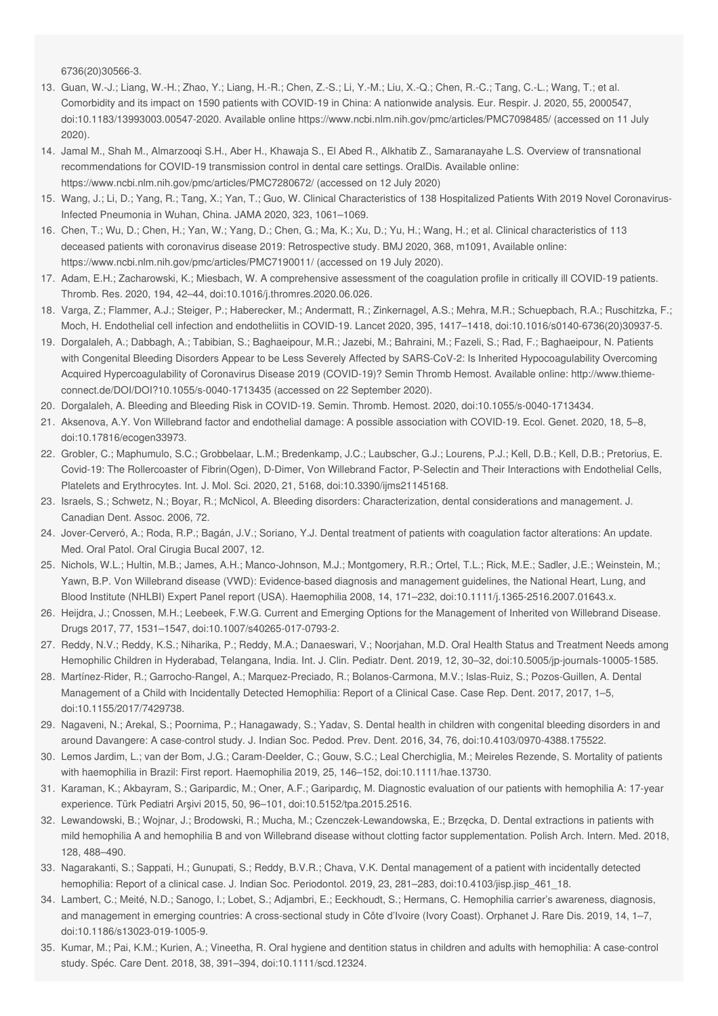<span id="page-3-0"></span>6736(20)30566-3.

- 13. Guan, W.-J.; Liang, W.-H.; Zhao, Y.; Liang, H.-R.; Chen, Z.-S.; Li, Y.-M.; Liu, X.-Q.; Chen, R.-C.; Tang, C.-L.; Wang, T.; et al. Comorbidity and its impact on 1590 patients with COVID-19 in China: A nationwide analysis. Eur. Respir. J. 2020, 55, 2000547, doi:10.1183/13993003.00547-2020. Available online https://www.ncbi.nlm.nih.gov/pmc/articles/PMC7098485/ (accessed on 11 July 2020).
- <span id="page-3-2"></span><span id="page-3-1"></span>14. Jamal M., Shah M., Almarzooqi S.H., Aber H., Khawaja S., El Abed R., Alkhatib Z., Samaranayahe L.S. Overview of transnational recommendations for COVID‐19 transmission control in dental care settings. OralDis. Available online: https://www.ncbi.nlm.nih.gov/pmc/articles/PMC7280672/ (accessed on 12 July 2020)
- <span id="page-3-3"></span>15. Wang, J.; Li, D.; Yang, R.; Tang, X.; Yan, T.; Guo, W. Clinical Characteristics of 138 Hospitalized Patients With 2019 Novel Coronavirus-Infected Pneumonia in Wuhan, China. JAMA 2020, 323, 1061–1069.
- <span id="page-3-4"></span>16. Chen, T.; Wu, D.; Chen, H.; Yan, W.; Yang, D.; Chen, G.; Ma, K.; Xu, D.; Yu, H.; Wang, H.; et al. Clinical characteristics of 113 deceased patients with coronavirus disease 2019: Retrospective study. BMJ 2020, 368, m1091, Available online: https://www.ncbi.nlm.nih.gov/pmc/articles/PMC7190011/ (accessed on 19 July 2020).
- <span id="page-3-5"></span>17. Adam, E.H.; Zacharowski, K.; Miesbach, W. A comprehensive assessment of the coagulation profile in critically ill COVID-19 patients. Thromb. Res. 2020, 194, 42–44, doi:10.1016/j.thromres.2020.06.026.
- <span id="page-3-6"></span>18. Varga, Z.; Flammer, A.J.; Steiger, P.; Haberecker, M.; Andermatt, R.; Zinkernagel, A.S.; Mehra, M.R.; Schuepbach, R.A.; Ruschitzka, F.; Moch, H. Endothelial cell infection and endotheliitis in COVID-19. Lancet 2020, 395, 1417–1418, doi:10.1016/s0140-6736(20)30937-5.
- <span id="page-3-7"></span>19. Dorgalaleh, A.; Dabbagh, A.; Tabibian, S.; Baghaeipour, M.R.; Jazebi, M.; Bahraini, M.; Fazeli, S.; Rad, F.; Baghaeipour, N. Patients with Congenital Bleeding Disorders Appear to be Less Severely Affected by SARS-CoV-2: Is Inherited Hypocoagulability Overcoming Acquired Hypercoagulability of Coronavirus Disease 2019 (COVID-19)? Semin Thromb Hemost. Available online: http://www.thiemeconnect.de/DOI/DOI?10.1055/s-0040-1713435 (accessed on 22 September 2020).
- <span id="page-3-8"></span>20. Dorgalaleh, A. Bleeding and Bleeding Risk in COVID-19. Semin. Thromb. Hemost. 2020, doi:10.1055/s-0040-1713434.
- <span id="page-3-9"></span>21. Aksenova, A.Y. Von Willebrand factor and endothelial damage: A possible association with COVID-19. Ecol. Genet. 2020, 18, 5–8, doi:10.17816/ecogen33973.
- <span id="page-3-10"></span>22. Grobler, C.; Maphumulo, S.C.; Grobbelaar, L.M.; Bredenkamp, J.C.; Laubscher, G.J.; Lourens, P.J.; Kell, D.B.; Kell, D.B.; Pretorius, E. Covid-19: The Rollercoaster of Fibrin(Ogen), D-Dimer, Von Willebrand Factor, P-Selectin and Their Interactions with Endothelial Cells, Platelets and Erythrocytes. Int. J. Mol. Sci. 2020, 21, 5168, doi:10.3390/ijms21145168.
- <span id="page-3-11"></span>23. Israels, S.; Schwetz, N.; Boyar, R.; McNicol, A. Bleeding disorders: Characterization, dental considerations and management. J. Canadian Dent. Assoc. 2006, 72.
- <span id="page-3-12"></span>24. Jover-Cerveró, A.; Roda, R.P.; Bagán, J.V.; Soriano, Y.J. Dental treatment of patients with coagulation factor alterations: An update. Med. Oral Patol. Oral Cirugia Bucal 2007, 12.
- <span id="page-3-13"></span>25. Nichols, W.L.; Hultin, M.B.; James, A.H.; Manco-Johnson, M.J.; Montgomery, R.R.; Ortel, T.L.; Rick, M.E.; Sadler, J.E.; Weinstein, M.; Yawn, B.P. Von Willebrand disease (VWD): Evidence-based diagnosis and management guidelines, the National Heart, Lung, and Blood Institute (NHLBI) Expert Panel report (USA). Haemophilia 2008, 14, 171–232, doi:10.1111/j.1365-2516.2007.01643.x.
- <span id="page-3-14"></span>26. Heijdra, J.; Cnossen, M.H.; Leebeek, F.W.G. Current and Emerging Options for the Management of Inherited von Willebrand Disease. Drugs 2017, 77, 1531–1547, doi:10.1007/s40265-017-0793-2.
- <span id="page-3-15"></span>27. Reddy, N.V.; Reddy, K.S.; Niharika, P.; Reddy, M.A.; Danaeswari, V.; Noorjahan, M.D. Oral Health Status and Treatment Needs among Hemophilic Children in Hyderabad, Telangana, India. Int. J. Clin. Pediatr. Dent. 2019, 12, 30–32, doi:10.5005/jp-journals-10005-1585.
- <span id="page-3-16"></span>28. Martínez-Rider, R.; Garrocho-Rangel, A.; Marquez-Preciado, R.; Bolanos-Carmona, M.V.; Islas-Ruiz, S.; Pozos-Guillen, A. Dental Management of a Child with Incidentally Detected Hemophilia: Report of a Clinical Case. Case Rep. Dent. 2017, 2017, 1–5, doi:10.1155/2017/7429738.
- <span id="page-3-17"></span>29. Nagaveni, N.; Arekal, S.; Poornima, P.; Hanagawady, S.; Yadav, S. Dental health in children with congenital bleeding disorders in and around Davangere: A case-control study. J. Indian Soc. Pedod. Prev. Dent. 2016, 34, 76, doi:10.4103/0970-4388.175522.
- <span id="page-3-18"></span>30. Lemos Jardim, L.; van der Bom, J.G.; Caram-Deelder, C.; Gouw, S.C.; Leal Cherchiglia, M.; Meireles Rezende, S. Mortality of patients with haemophilia in Brazil: First report. Haemophilia 2019, 25, 146–152, doi:10.1111/hae.13730.
- <span id="page-3-19"></span>31. Karaman, K.; Akbayram, S.; Garipardic, M.; Oner, A.F.; Garipardıç, M. Diagnostic evaluation of our patients with hemophilia A: 17-year experience. Türk Pediatri Arşivi 2015, 50, 96–101, doi:10.5152/tpa.2015.2516.
- <span id="page-3-20"></span>32. Lewandowski, B.; Wojnar, J.; Brodowski, R.; Mucha, M.; Czenczek-Lewandowska, E.; Brzęcka, D. Dental extractions in patients with mild hemophilia A and hemophilia B and von Willebrand disease without clotting factor supplementation. Polish Arch. Intern. Med. 2018, 128, 488–490.
- <span id="page-3-21"></span>33. Nagarakanti, S.; Sappati, H.; Gunupati, S.; Reddy, B.V.R.; Chava, V.K. Dental management of a patient with incidentally detected hemophilia: Report of a clinical case. J. Indian Soc. Periodontol. 2019, 23, 281–283, doi:10.4103/jisp.jisp\_461\_18.
- <span id="page-3-22"></span>34. Lambert, C.; Meité, N.D.; Sanogo, I.; Lobet, S.; Adjambri, E.; Eeckhoudt, S.; Hermans, C. Hemophilia carrier's awareness, diagnosis, and management in emerging countries: A cross-sectional study in Côte d'Ivoire (Ivory Coast). Orphanet J. Rare Dis. 2019, 14, 1–7, doi:10.1186/s13023-019-1005-9.
- 35. Kumar, M.; Pai, K.M.; Kurien, A.; Vineetha, R. Oral hygiene and dentition status in children and adults with hemophilia: A case-control study. Spéc. Care Dent. 2018, 38, 391–394, doi:10.1111/scd.12324.